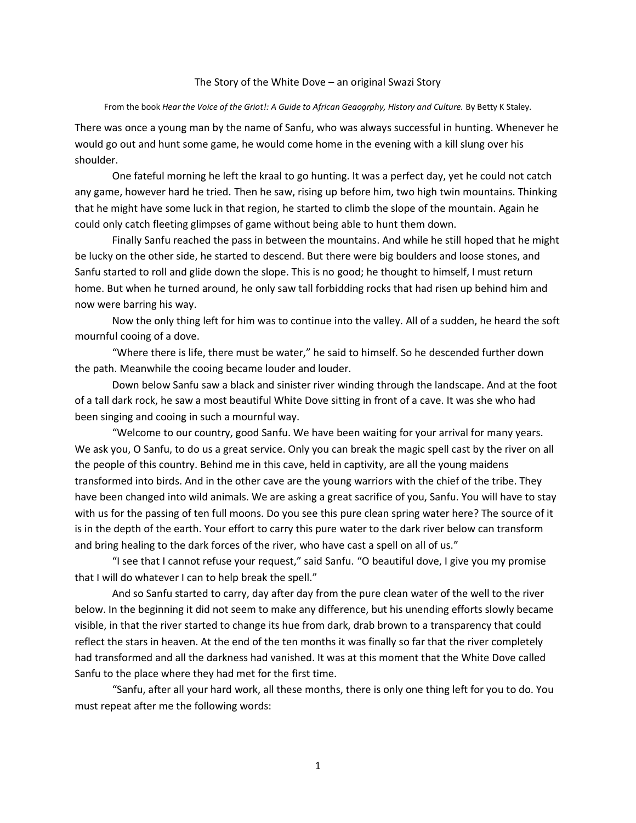## The Story of the White Dove – an original Swazi Story

## From the book *Hear the Voice of the Griot!: A Guide to African Geaogrphy, History and Culture.* By Betty K Staley.

There was once a young man by the name of Sanfu, who was always successful in hunting. Whenever he would go out and hunt some game, he would come home in the evening with a kill slung over his shoulder.

One fateful morning he left the kraal to go hunting. It was a perfect day, yet he could not catch any game, however hard he tried. Then he saw, rising up before him, two high twin mountains. Thinking that he might have some luck in that region, he started to climb the slope of the mountain. Again he could only catch fleeting glimpses of game without being able to hunt them down.

Finally Sanfu reached the pass in between the mountains. And while he still hoped that he might be lucky on the other side, he started to descend. But there were big boulders and loose stones, and Sanfu started to roll and glide down the slope. This is no good; he thought to himself, I must return home. But when he turned around, he only saw tall forbidding rocks that had risen up behind him and now were barring his way.

Now the only thing left for him was to continue into the valley. All of a sudden, he heard the soft mournful cooing of a dove.

"Where there is life, there must be water," he said to himself. So he descended further down the path. Meanwhile the cooing became louder and louder.

Down below Sanfu saw a black and sinister river winding through the landscape. And at the foot of a tall dark rock, he saw a most beautiful White Dove sitting in front of a cave. It was she who had been singing and cooing in such a mournful way.

"Welcome to our country, good Sanfu. We have been waiting for your arrival for many years. We ask you, O Sanfu, to do us a great service. Only you can break the magic spell cast by the river on all the people of this country. Behind me in this cave, held in captivity, are all the young maidens transformed into birds. And in the other cave are the young warriors with the chief of the tribe. They have been changed into wild animals. We are asking a great sacrifice of you, Sanfu. You will have to stay with us for the passing of ten full moons. Do you see this pure clean spring water here? The source of it is in the depth of the earth. Your effort to carry this pure water to the dark river below can transform and bring healing to the dark forces of the river, who have cast a spell on all of us."

"I see that I cannot refuse your request," said Sanfu. "O beautiful dove, I give you my promise that I will do whatever I can to help break the spell."

And so Sanfu started to carry, day after day from the pure clean water of the well to the river below. In the beginning it did not seem to make any difference, but his unending efforts slowly became visible, in that the river started to change its hue from dark, drab brown to a transparency that could reflect the stars in heaven. At the end of the ten months it was finally so far that the river completely had transformed and all the darkness had vanished. It was at this moment that the White Dove called Sanfu to the place where they had met for the first time.

"Sanfu, after all your hard work, all these months, there is only one thing left for you to do. You must repeat after me the following words: